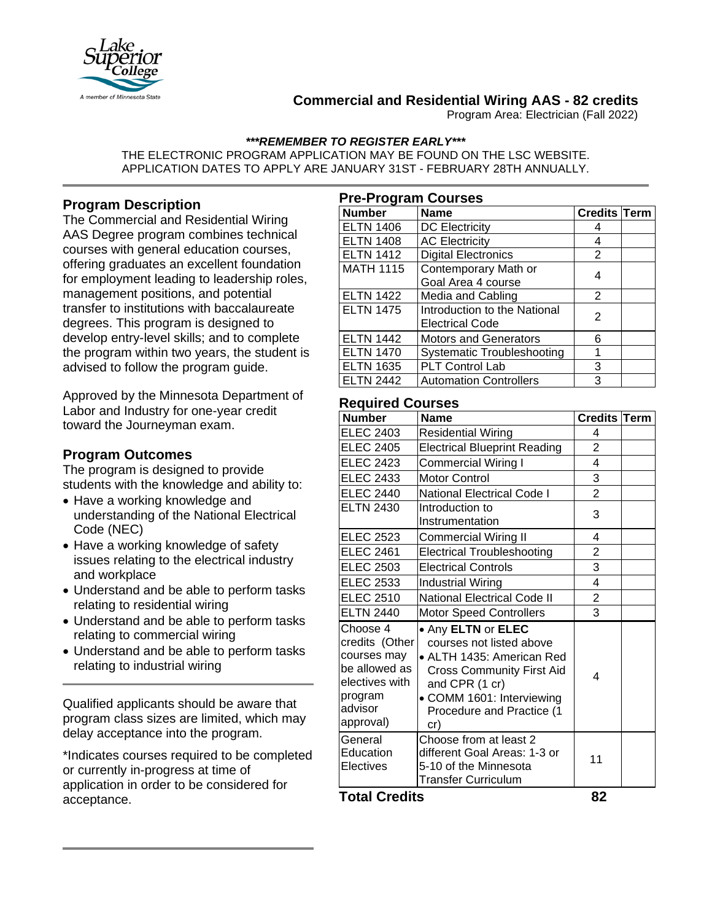

# **Commercial and Residential Wiring AAS - 82 credits**

Program Area: Electrician (Fall 2022)

*\*\*\*REMEMBER TO REGISTER EARLY\*\*\**

THE ELECTRONIC PROGRAM APPLICATION MAY BE FOUND ON THE LSC WEBSITE. APPLICATION DATES TO APPLY ARE JANUARY 31ST - FEBRUARY 28TH ANNUALLY.

# **Program Description**

The Commercial and Residential Wiring AAS Degree program combines technical courses with general education courses, offering graduates an excellent foundation for employment leading to leadership roles, management positions, and potential transfer to institutions with baccalaureate degrees. This program is designed to develop entry-level skills; and to complete the program within two years, the student is advised to follow the program guide.

Approved by the Minnesota Department of Labor and Industry for one-year credit toward the Journeyman exam.

## **Program Outcomes**

The program is designed to provide students with the knowledge and ability to:

- Have a working knowledge and understanding of the National Electrical Code (NEC)
- Have a working knowledge of safety issues relating to the electrical industry and workplace
- Understand and be able to perform tasks relating to residential wiring
- Understand and be able to perform tasks relating to commercial wiring
- Understand and be able to perform tasks relating to industrial wiring

Qualified applicants should be aware that program class sizes are limited, which may delay acceptance into the program.

\*Indicates courses required to be completed or currently in-progress at time of application in order to be considered for acceptance.

| <b>Pre-Program Courses</b> |                               |                     |  |  |  |
|----------------------------|-------------------------------|---------------------|--|--|--|
| <b>Number</b>              | <b>Name</b>                   | <b>Credits Term</b> |  |  |  |
| <b>ELTN 1406</b>           | <b>DC Electricity</b>         |                     |  |  |  |
| <b>ELTN 1408</b>           | <b>AC Electricity</b>         |                     |  |  |  |
| <b>ELTN 1412</b>           | <b>Digital Electronics</b>    | 2                   |  |  |  |
| <b>MATH 1115</b>           | Contemporary Math or          |                     |  |  |  |
|                            | Goal Area 4 course            |                     |  |  |  |
| <b>ELTN 1422</b>           | Media and Cabling             | 2                   |  |  |  |
| <b>ELTN 1475</b>           | Introduction to the National  | 2                   |  |  |  |
|                            | <b>Electrical Code</b>        |                     |  |  |  |
| <b>ELTN 1442</b>           | <b>Motors and Generators</b>  | 6                   |  |  |  |
| <b>ELTN 1470</b>           | Systematic Troubleshooting    |                     |  |  |  |
| <b>ELTN 1635</b>           | PLT Control Lab               | 3                   |  |  |  |
| <b>ELTN 2442</b>           | <b>Automation Controllers</b> | З                   |  |  |  |

## **Required Courses**

| <b>Number</b>                                                                                                   | <b>Name</b>                                                                                                                                                                                        | <b>Credits Term</b> |  |
|-----------------------------------------------------------------------------------------------------------------|----------------------------------------------------------------------------------------------------------------------------------------------------------------------------------------------------|---------------------|--|
| <b>ELEC 2403</b>                                                                                                | <b>Residential Wiring</b>                                                                                                                                                                          | 4                   |  |
| <b>ELEC 2405</b>                                                                                                | <b>Electrical Blueprint Reading</b>                                                                                                                                                                | $\overline{c}$      |  |
| <b>ELEC 2423</b>                                                                                                | <b>Commercial Wiring I</b>                                                                                                                                                                         | 4                   |  |
| <b>ELEC 2433</b>                                                                                                | <b>Motor Control</b>                                                                                                                                                                               | 3                   |  |
| <b>ELEC 2440</b>                                                                                                | <b>National Electrical Code I</b>                                                                                                                                                                  | $\overline{2}$      |  |
| <b>ELTN 2430</b>                                                                                                | Introduction to<br>Instrumentation                                                                                                                                                                 | 3                   |  |
| <b>ELEC 2523</b>                                                                                                | <b>Commercial Wiring II</b>                                                                                                                                                                        | 4                   |  |
| <b>ELEC 2461</b>                                                                                                | <b>Electrical Troubleshooting</b>                                                                                                                                                                  | $\frac{2}{3}$       |  |
| <b>ELEC 2503</b>                                                                                                | <b>Electrical Controls</b>                                                                                                                                                                         |                     |  |
| <b>ELEC 2533</b>                                                                                                | <b>Industrial Wiring</b>                                                                                                                                                                           | 4                   |  |
| <b>ELEC 2510</b>                                                                                                | <b>National Electrical Code II</b>                                                                                                                                                                 | 2                   |  |
| <b>ELTN 2440</b>                                                                                                | <b>Motor Speed Controllers</b>                                                                                                                                                                     | 3                   |  |
| Choose 4<br>credits (Other<br>courses may<br>be allowed as<br>electives with<br>program<br>advisor<br>approval) | • Any ELTN or ELEC<br>courses not listed above<br>• ALTH 1435: American Red<br><b>Cross Community First Aid</b><br>and CPR (1 cr)<br>• COMM 1601: Interviewing<br>Procedure and Practice (1<br>cr) | 4                   |  |
| General<br>Education<br>Electives                                                                               | Choose from at least 2<br>different Goal Areas: 1-3 or<br>5-10 of the Minnesota<br><b>Transfer Curriculum</b>                                                                                      | 11                  |  |

## **Total Credits 82**